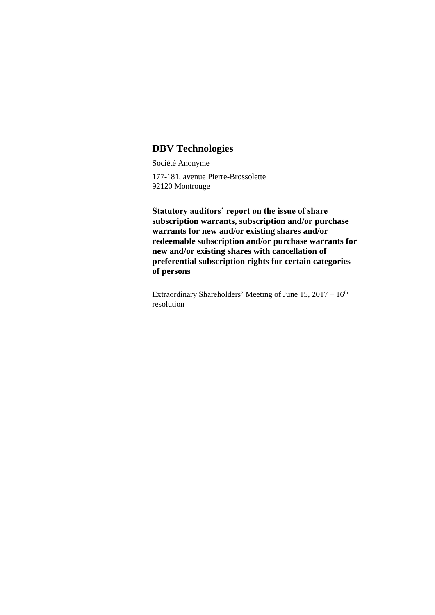## **DBV Technologies**

Société Anonyme

177-181, avenue Pierre-Brossolette 92120 Montrouge

**Statutory auditors' report on the issue of share subscription warrants, subscription and/or purchase warrants for new and/or existing shares and/or redeemable subscription and/or purchase warrants for new and/or existing shares with cancellation of preferential subscription rights for certain categories of persons**

Extraordinary Shareholders' Meeting of June  $15, 2017 - 16$ <sup>th</sup> resolution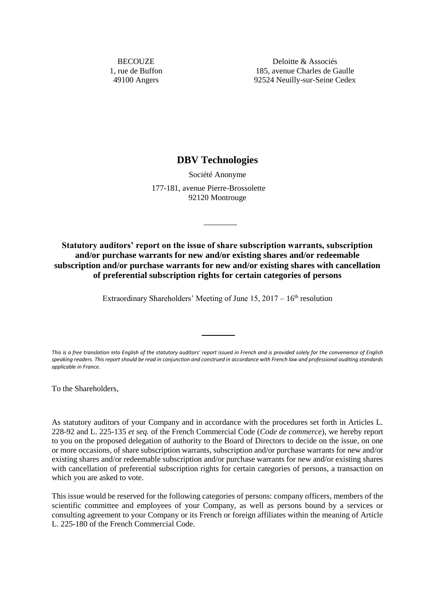**BECOUZE** 1, rue de Buffon 49100 Angers

Deloitte & Associés 185, avenue Charles de Gaulle 92524 Neuilly-sur-Seine Cedex

## **DBV Technologies**

Société Anonyme

177-181, avenue Pierre-Brossolette 92120 Montrouge

**Statutory auditors' report on the issue of share subscription warrants, subscription and/or purchase warrants for new and/or existing shares and/or redeemable subscription and/or purchase warrants for new and/or existing shares with cancellation of preferential subscription rights for certain categories of persons**

Extraordinary Shareholders' Meeting of June  $15, 2017 - 16<sup>th</sup>$  resolution

*This is a free translation into English of the statutory auditors' report issued in French and is provided solely for the convenience of English speaking readers. This report should be read in conjunction and construed in accordance with French law and professional auditing standards applicable in France.*

To the Shareholders,

As statutory auditors of your Company and in accordance with the procedures set forth in Articles L. 228-92 and L. 225-135 *et seq.* of the French Commercial Code (*Code de commerce*), we hereby report to you on the proposed delegation of authority to the Board of Directors to decide on the issue, on one or more occasions, of share subscription warrants, subscription and/or purchase warrants for new and/or existing shares and/or redeemable subscription and/or purchase warrants for new and/or existing shares with cancellation of preferential subscription rights for certain categories of persons, a transaction on which you are asked to vote.

This issue would be reserved for the following categories of persons: company officers, members of the scientific committee and employees of your Company, as well as persons bound by a services or consulting agreement to your Company or its French or foreign affiliates within the meaning of Article L. 225-180 of the French Commercial Code.